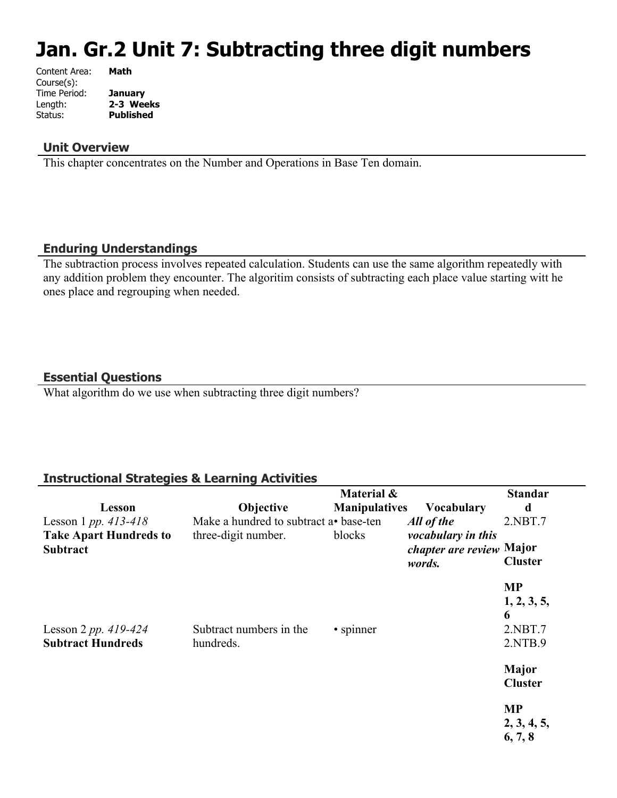# **Jan. Gr.2 Unit 7: Subtracting three digit numbers**

| Content Area: | Math             |
|---------------|------------------|
| Course(s):    |                  |
| Time Period:  | <b>January</b>   |
| Length:       | 2-3 Weeks        |
| Status:       | <b>Published</b> |
|               |                  |

#### **Unit Overview**

This chapter concentrates on the Number and Operations in Base Ten domain.

#### **Enduring Understandings**

The subtraction process involves repeated calculation. Students can use the same algorithm repeatedly with any addition problem they encounter. The algoritim consists of subtracting each place value starting witt he ones place and regrouping when needed.

#### **Essential Questions**

What algorithm do we use when subtracting three digit numbers?

# **Instructional Strategies & Learning Activities**

|                                                  |                                       | Material &           |                                                                 | <b>Standar</b>                 |
|--------------------------------------------------|---------------------------------------|----------------------|-----------------------------------------------------------------|--------------------------------|
| Lesson                                           | <b>Objective</b>                      | <b>Manipulatives</b> | <b>Vocabulary</b>                                               | d                              |
| Lesson 1 pp. $413 - 418$                         | Make a hundred to subtract a base-ten |                      | All of the                                                      | 2.NBT.7                        |
| <b>Take Apart Hundreds to</b><br><b>Subtract</b> | three-digit number.                   | blocks               | vocabulary in this<br><i>chapter are review</i> Major<br>words. | <b>Cluster</b>                 |
|                                                  |                                       |                      |                                                                 | <b>MP</b>                      |
|                                                  |                                       |                      |                                                                 | 1, 2, 3, 5,<br>6               |
| Lesson 2 pp. $419-424$                           | Subtract numbers in the               | • spinner            |                                                                 | 2.NBT.7                        |
| <b>Subtract Hundreds</b>                         | hundreds.                             |                      |                                                                 | 2.NTB.9                        |
|                                                  |                                       |                      |                                                                 | <b>Major</b><br><b>Cluster</b> |
|                                                  |                                       |                      |                                                                 | <b>MP</b>                      |
|                                                  |                                       |                      |                                                                 | 2, 3, 4, 5,<br>6, 7, 8         |
|                                                  |                                       |                      |                                                                 |                                |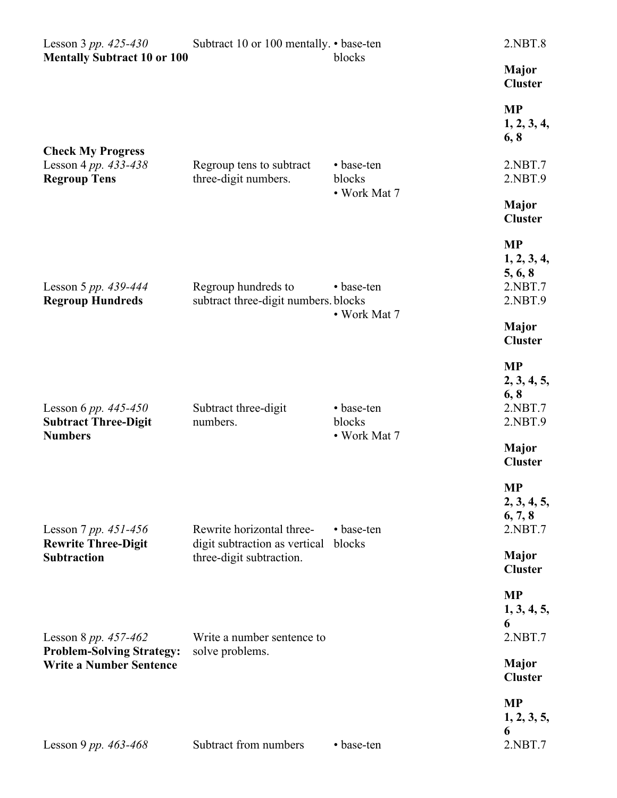| Lesson 3 pp. $425 - 430$                                                                     | Subtract 10 or 100 mentally. • base-ten                                                |                      | 2.NBT.8                                                   |
|----------------------------------------------------------------------------------------------|----------------------------------------------------------------------------------------|----------------------|-----------------------------------------------------------|
| <b>Mentally Subtract 10 or 100</b>                                                           |                                                                                        | blocks               | <b>Major</b><br><b>Cluster</b>                            |
|                                                                                              |                                                                                        |                      | <b>MP</b><br>1, 2, 3, 4,<br>6, 8                          |
| <b>Check My Progress</b><br>Lesson 4 pp. 433-438<br><b>Regroup Tens</b>                      | Regroup tens to subtract<br>three-digit numbers.                                       | • base-ten<br>blocks | 2.NBT.7<br>2.NBT.9                                        |
|                                                                                              |                                                                                        | • Work Mat 7         | <b>Major</b><br><b>Cluster</b>                            |
| Lesson 5 pp. 439-444<br><b>Regroup Hundreds</b>                                              | Regroup hundreds to<br>subtract three-digit numbers. blocks                            | • base-ten           | <b>MP</b><br>1, 2, 3, 4,<br>5, 6, 8<br>2.NBT.7<br>2.NBT.9 |
|                                                                                              |                                                                                        | • Work Mat 7         | <b>Major</b><br><b>Cluster</b>                            |
| Lesson 6 pp. $445 - 450$<br><b>Subtract Three-Digit</b>                                      | Subtract three-digit<br>numbers.                                                       | • base-ten<br>blocks | <b>MP</b><br>2, 3, 4, 5,<br>6, 8<br>2.NBT.7<br>2.NBT.9    |
| <b>Numbers</b>                                                                               |                                                                                        | • Work Mat 7         | <b>Major</b><br><b>Cluster</b>                            |
| Lesson 7 pp. $451 - 456$<br><b>Rewrite Three-Digit</b><br><b>Subtraction</b>                 | Rewrite horizontal three-<br>digit subtraction as vertical<br>three-digit subtraction. | • base-ten           | <b>MP</b><br>2, 3, 4, 5,<br>6, 7, 8<br>2.NBT.7            |
|                                                                                              |                                                                                        | blocks               | <b>Major</b><br><b>Cluster</b>                            |
| Lesson 8 pp. $457-462$<br><b>Problem-Solving Strategy:</b><br><b>Write a Number Sentence</b> | Write a number sentence to<br>solve problems.                                          |                      | <b>MP</b><br>1, 3, 4, 5,<br>6<br>2.NBT.7                  |
|                                                                                              |                                                                                        |                      | Major<br><b>Cluster</b>                                   |
| Lesson 9 pp. $463 - 468$                                                                     | Subtract from numbers                                                                  | • base-ten           | <b>MP</b><br>1, 2, 3, 5,<br>6<br>2.NBT.7                  |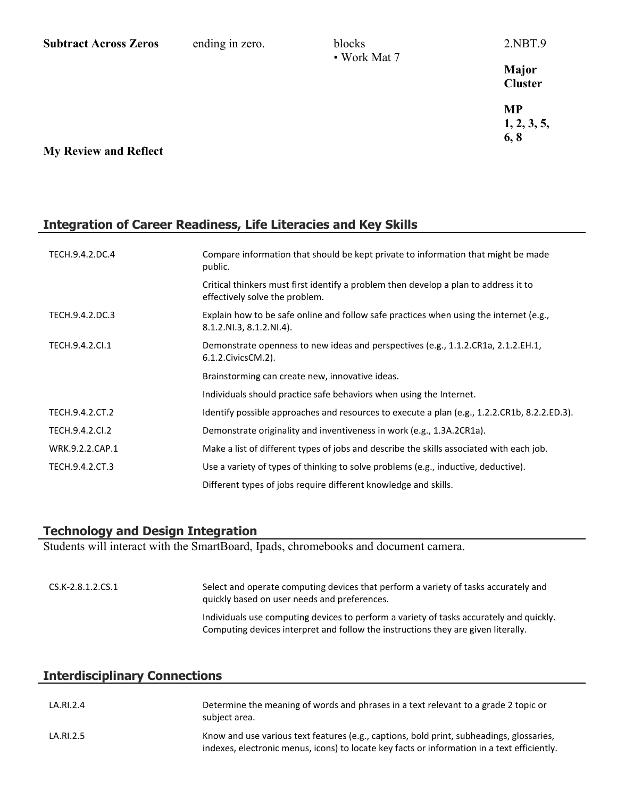| <b>Subtract Across Zeros</b> | ending in zero. | blocks<br>• Work Mat 7 | 2.NBT.9                  |
|------------------------------|-----------------|------------------------|--------------------------|
|                              |                 |                        | Major<br><b>Cluster</b>  |
|                              |                 |                        | <b>MP</b><br>1, 2, 3, 5, |
| <b>My Review and Reflect</b> |                 |                        | 6, 8                     |

# **Integration of Career Readiness, Life Literacies and Key Skills**

| TECH.9.4.2.DC.4 | Compare information that should be kept private to information that might be made<br>public.                           |
|-----------------|------------------------------------------------------------------------------------------------------------------------|
|                 | Critical thinkers must first identify a problem then develop a plan to address it to<br>effectively solve the problem. |
| TECH.9.4.2.DC.3 | Explain how to be safe online and follow safe practices when using the internet (e.g.,<br>$8.1.2.NI.3, 8.1.2.NI.4$ .   |
| TECH.9.4.2.Cl.1 | Demonstrate openness to new ideas and perspectives (e.g., 1.1.2.CR1a, 2.1.2.EH.1,<br>6.1.2. Civics CM. 2).             |
|                 | Brainstorming can create new, innovative ideas.                                                                        |
|                 | Individuals should practice safe behaviors when using the Internet.                                                    |
| TECH.9.4.2.CT.2 | Identify possible approaches and resources to execute a plan (e.g., 1.2.2.CR1b, 8.2.2.ED.3).                           |
| TECH.9.4.2.CI.2 | Demonstrate originality and inventiveness in work (e.g., 1.3A.2CR1a).                                                  |
| WRK.9.2.2.CAP.1 | Make a list of different types of jobs and describe the skills associated with each job.                               |
| TECH.9.4.2.CT.3 | Use a variety of types of thinking to solve problems (e.g., inductive, deductive).                                     |
|                 | Different types of jobs require different knowledge and skills.                                                        |

#### **Technology and Design Integration**

Students will interact with the SmartBoard, Ipads, chromebooks and document camera.

| CS.K-2.8.1.2.CS.1 | Select and operate computing devices that perform a variety of tasks accurately and<br>quickly based on user needs and preferences.                                          |
|-------------------|------------------------------------------------------------------------------------------------------------------------------------------------------------------------------|
|                   | Individuals use computing devices to perform a variety of tasks accurately and quickly.<br>Computing devices interpret and follow the instructions they are given literally. |

# **Interdisciplinary Connections**

| LA.RI.2.4 | Determine the meaning of words and phrases in a text relevant to a grade 2 topic or<br>subject area.                                                                                    |
|-----------|-----------------------------------------------------------------------------------------------------------------------------------------------------------------------------------------|
| LA.RI.2.5 | Know and use various text features (e.g., captions, bold print, subheadings, glossaries,<br>indexes, electronic menus, icons) to locate key facts or information in a text efficiently. |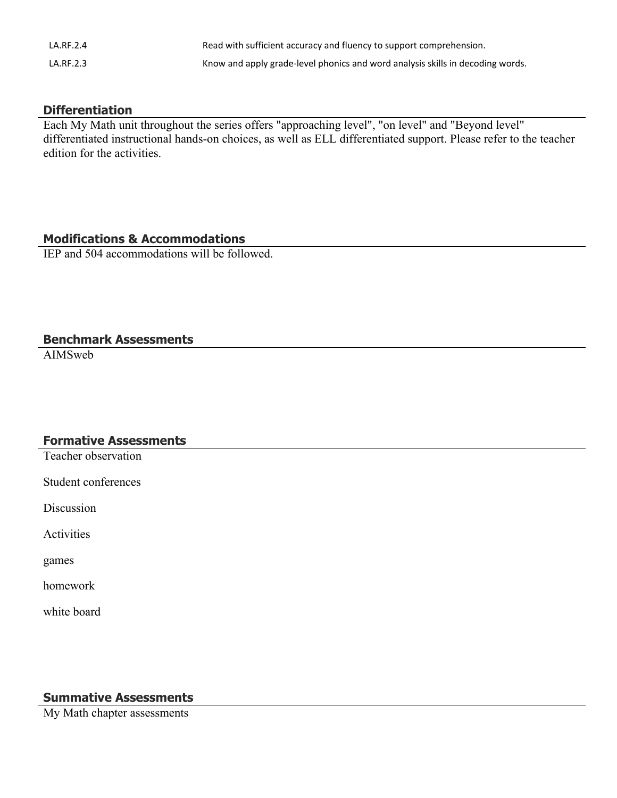| LA.RF.2.4 | Read with sufficient accuracy and fluency to support comprehension.            |
|-----------|--------------------------------------------------------------------------------|
| LA.RF.2.3 | Know and apply grade-level phonics and word analysis skills in decoding words. |

# **Differentiation**

Each My Math unit throughout the series offers "approaching level", "on level" and "Beyond level" differentiated instructional hands-on choices, as well as ELL differentiated support. Please refer to the teacher edition for the activities.

## **Modifications & Accommodations**

IEP and 504 accommodations will be followed.

#### **Benchmark Assessments**

AIMSweb

#### **Formative Assessments**

Teacher observation

Student conferences

**Discussion** 

Activities

games

homework

white board

# **Summative Assessments**

My Math chapter assessments